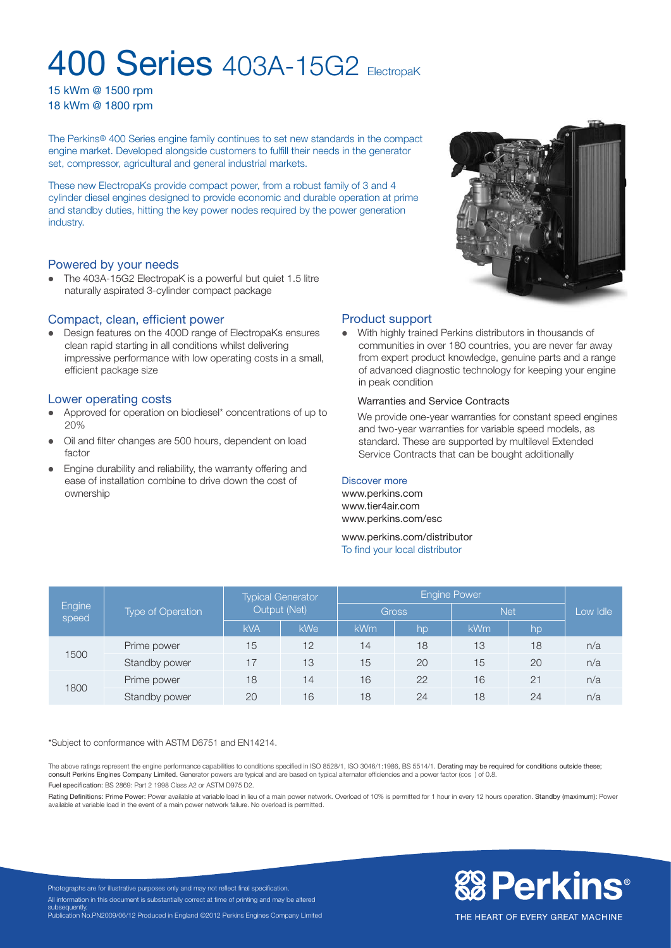# **400 Series 403A-15G2 FlectropaK**

15 kWm @ 1500 rpm 18 kWm @ 1800 rpm

The Perkins® 400 Series engine family continues to set new standards in the compact engine market. Developed alongside customers to fulfill their needs in the generator set, compressor, agricultural and general industrial markets.

These new ElectropaKs provide compact power, from a robust family of 3 and 4 cylinder diesel engines designed to provide economic and durable operation at prime and standby duties, hitting the key power nodes required by the power generation industry.

# Powered by your needs

• The 403A-15G2 ElectropaK is a powerful but quiet 1.5 litre naturally aspirated 3-cylinder compact package

#### Compact, clean, efficient power

• Design features on the 400D range of ElectropaKs ensures clean rapid starting in all conditions whilst delivering impressive performance with low operating costs in a small, efficient package size

#### Lower operating costs

- Approved for operation on biodiesel\* concentrations of up to 20%
- Oil and filter changes are 500 hours, dependent on load factor
- Engine durability and reliability, the warranty offering and ease of installation combine to drive down the cost of ownership



# Product support

With highly trained Perkins distributors in thousands of communities in over 180 countries, you are never far away from expert product knowledge, genuine parts and a range of advanced diagnostic technology for keeping your engine in peak condition

#### Warranties and Service Contracts

We provide one-year warranties for constant speed engines and two-year warranties for variable speed models, as standard. These are supported by multilevel Extended Service Contracts that can be bought additionally

#### Discover more

www.perkins.com www.tier4air.com www.perkins.com/esc

www.perkins.com/distributor To find your local distributor

| Engine<br>speed | Type of Operation | <b>Typical Generator</b><br>Output (Net) |     | <b>Engine Power</b> |    |            |    |          |
|-----------------|-------------------|------------------------------------------|-----|---------------------|----|------------|----|----------|
|                 |                   |                                          |     | <b>Gross</b>        |    | <b>Net</b> |    | Low Idle |
|                 |                   | <b>kVA</b>                               | kWe | <b>kWm</b>          | hp | <b>kWm</b> | hp |          |
| 1500            | Prime power       | 15                                       | 12  | 14                  | 18 | 13         | 18 | n/a      |
|                 | Standby power     | 17                                       | 13  | 15                  | 20 | 15         | 20 | n/a      |
| 1800            | Prime power       | 18                                       | 14  | 16                  | 22 | 16         | 21 | n/a      |
|                 | Standby power     | 20                                       | 16  | 18                  | 24 | 18         | 24 | n/a      |

\*Subject to conformance with ASTM D6751 and EN14214.

The above ratings represent the engine performance capabilities to conditions specified in ISO 8528/1, ISO 3046/1:1986, BS 5514/1. Derating may be required for conditions outside these;<br>consult Perkins Engines Company Limi

Fuel specification: BS 2869: Part 2 1998 Class A2 or ASTM D975 D2.

Rating Definitions: Prime Power: Power available at variable load in lieu of a main power network. Overload of 10% is permitted for 1 hour in every 12 hours operation. Standby (maximum): Power available at variable load in the event of a main power network failure. No overload is permitted.



Photographs are for illustrative purposes only and may not reflect final specification. All information in this document is substantially correct at time of printing and may be altered subsequentl Publication No.PN2009/06/12 Produced in England ©2012 Perkins Engines Company Limited

THE HEART OF EVERY GREAT MACHINE